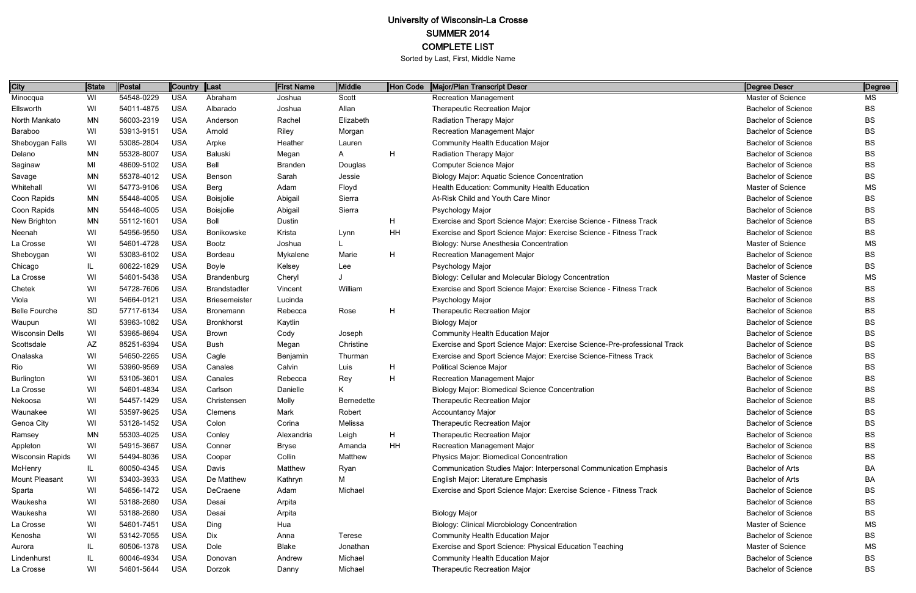| <b>City</b>             | <b>State</b> | <b>Postal</b> | Country Last |                      | <b>First Name</b> | Middle     | Hon Code | Major/Plan Transcript Descr                                               | Degree Descr               | Degree    |
|-------------------------|--------------|---------------|--------------|----------------------|-------------------|------------|----------|---------------------------------------------------------------------------|----------------------------|-----------|
| Minocqua                | WI           | 54548-0229    | <b>USA</b>   | Abraham              | Joshua            | Scott      |          | <b>Recreation Management</b>                                              | Master of Science          | MS        |
| Ellsworth               | WI           | 54011-4875    | <b>USA</b>   | Albarado             | Joshua            | Allan      |          | <b>Therapeutic Recreation Major</b>                                       | <b>Bachelor of Science</b> | <b>BS</b> |
| North Mankato           | MN           | 56003-2319    | <b>USA</b>   | Anderson             | Rachel            | Elizabeth  |          | <b>Radiation Therapy Major</b>                                            | <b>Bachelor of Science</b> | <b>BS</b> |
| Baraboo                 | WI           | 53913-9151    | <b>USA</b>   | Arnold               | Riley             | Morgan     |          | <b>Recreation Management Major</b>                                        | <b>Bachelor of Science</b> | BS        |
| Sheboygan Falls         | WI           | 53085-2804    | <b>USA</b>   | Arpke                | Heather           | Lauren     |          | <b>Community Health Education Major</b>                                   | <b>Bachelor of Science</b> | <b>BS</b> |
| Delano                  | MN           | 55328-8007    | <b>USA</b>   | Baluski              | Megan             | A          | H        | <b>Radiation Therapy Major</b>                                            | <b>Bachelor of Science</b> | BS        |
| Saginaw                 | MI           | 48609-5102    | <b>USA</b>   | Bell                 | <b>Branden</b>    | Douglas    |          | <b>Computer Science Major</b>                                             | <b>Bachelor of Science</b> | BS        |
| Savage                  | MN           | 55378-4012    | <b>USA</b>   | Benson               | Sarah             | Jessie     |          | <b>Biology Major: Aquatic Science Concentration</b>                       | <b>Bachelor of Science</b> | BS        |
| Whitehall               | WI           | 54773-9106    | <b>USA</b>   | Berg                 | Adam              | Floyd      |          | Health Education: Community Health Education                              | Master of Science          | MS        |
| Coon Rapids             | MN           | 55448-4005    | <b>USA</b>   | <b>Boisjolie</b>     | Abigail           | Sierra     |          | At-Risk Child and Youth Care Minor                                        | <b>Bachelor of Science</b> | BS        |
| Coon Rapids             | MN.          | 55448-4005    | <b>USA</b>   | <b>Boisjolie</b>     | Abigail           | Sierra     |          | Psychology Major                                                          | <b>Bachelor of Science</b> | <b>BS</b> |
| New Brighton            | <b>MN</b>    | 55112-1601    | <b>USA</b>   | Boll                 | Dustin            |            | H        | Exercise and Sport Science Major: Exercise Science - Fitness Track        | <b>Bachelor of Science</b> | BS        |
| Neenah                  | WI           | 54956-9550    | <b>USA</b>   | Bonikowske           | Krista            | Lynn       | HH       | Exercise and Sport Science Major: Exercise Science - Fitness Track        | <b>Bachelor of Science</b> | <b>BS</b> |
| La Crosse               | WI           | 54601-4728    | <b>USA</b>   | Bootz                | Joshua            |            |          | Biology: Nurse Anesthesia Concentration                                   | Master of Science          | <b>MS</b> |
| Sheboygan               | WI           | 53083-6102    | <b>USA</b>   | Bordeau              | Mykalene          | Marie      | H        | <b>Recreation Management Major</b>                                        | <b>Bachelor of Science</b> | <b>BS</b> |
| Chicago                 | IL           | 60622-1829    | <b>USA</b>   | <b>Boyle</b>         | Kelsey            | Lee        |          | Psychology Major                                                          | <b>Bachelor of Science</b> | BS        |
| La Crosse               | WI           | 54601-5438    | <b>USA</b>   | Brandenburg          | Cheryl            |            |          | Biology: Cellular and Molecular Biology Concentration                     | Master of Science          | MS        |
| Chetek                  | WI           | 54728-7606    | <b>USA</b>   | Brandstadter         | Vincent           | William    |          | Exercise and Sport Science Major: Exercise Science - Fitness Track        | <b>Bachelor of Science</b> | BS        |
| Viola                   | WI           | 54664-0121    | <b>USA</b>   | <b>Briesemeister</b> | Lucinda           |            |          | Psychology Major                                                          | <b>Bachelor of Science</b> | BS        |
| <b>Belle Fourche</b>    | <b>SD</b>    | 57717-6134    | <b>USA</b>   | Bronemann            | Rebecca           | Rose       | H        | <b>Therapeutic Recreation Major</b>                                       | <b>Bachelor of Science</b> | BS        |
| Waupun                  | WI           | 53963-1082    | <b>USA</b>   | <b>Bronkhorst</b>    | Kaytlin           |            |          | <b>Biology Major</b>                                                      | <b>Bachelor of Science</b> | <b>BS</b> |
| <b>Wisconsin Dells</b>  | WI           | 53965-8694    | <b>USA</b>   | <b>Brown</b>         | Cody              | Joseph     |          | <b>Community Health Education Major</b>                                   | <b>Bachelor of Science</b> | <b>BS</b> |
| Scottsdale              | AΖ           | 85251-6394    | <b>USA</b>   | <b>Bush</b>          | Megan             | Christine  |          | Exercise and Sport Science Major: Exercise Science-Pre-professional Track | <b>Bachelor of Science</b> | <b>BS</b> |
| Onalaska                | WI           | 54650-2265    | <b>USA</b>   | Cagle                | Benjamin          | Thurman    |          | Exercise and Sport Science Major: Exercise Science-Fitness Track          | <b>Bachelor of Science</b> | <b>BS</b> |
| Rio                     | WI           | 53960-9569    | <b>USA</b>   | Canales              | Calvin            | Luis       | H        | <b>Political Science Major</b>                                            | <b>Bachelor of Science</b> | <b>BS</b> |
| Burlington              | WI           | 53105-3601    | <b>USA</b>   | Canales              | Rebecca           | Rey        | H        | <b>Recreation Management Major</b>                                        | <b>Bachelor of Science</b> | <b>BS</b> |
| La Crosse               | WI           | 54601-4834    | <b>USA</b>   | Carlson              | Danielle          | Κ          |          | <b>Biology Major: Biomedical Science Concentration</b>                    | <b>Bachelor of Science</b> | <b>BS</b> |
| Nekoosa                 | WI           | 54457-1429    | <b>USA</b>   | Christensen          | Molly             | Bernedette |          | Therapeutic Recreation Major                                              | <b>Bachelor of Science</b> | <b>BS</b> |
| Waunakee                | WI           | 53597-9625    | USA          | Clemens              | Mark              | Robert     |          | <b>Accountancy Major</b>                                                  | <b>Bachelor of Science</b> | BS        |
| Genoa City              | WI           | 53128-1452    | <b>USA</b>   | Colon                | Corina            | Melissa    |          | <b>Therapeutic Recreation Major</b>                                       | <b>Bachelor of Science</b> | BS        |
| Ramsey                  | MN           | 55303-4025    | <b>USA</b>   | Conley               | Alexandria        | Leigh      | H        | <b>Therapeutic Recreation Major</b>                                       | <b>Bachelor of Science</b> | BS        |
| Appleton                | WI           | 54915-3667    | <b>USA</b>   | Conner               | <b>Bryse</b>      | Amanda     | HH       | <b>Recreation Management Major</b>                                        | <b>Bachelor of Science</b> | BS        |
| <b>Wisconsin Rapids</b> | WI           | 54494-8036    | <b>USA</b>   | Cooper               | Collin            | Matthew    |          | Physics Major: Biomedical Concentration                                   | <b>Bachelor of Science</b> | BS        |
| McHenry                 | IL           | 60050-4345    | <b>USA</b>   | Davis                | Matthew           | Ryan       |          | Communication Studies Major: Interpersonal Communication Emphasis         | Bachelor of Arts           | BA        |
| Mount Pleasant          | WI           | 53403-3933    | <b>USA</b>   | De Matthew           | Kathryn           | М          |          | English Major: Literature Emphasis                                        | Bachelor of Arts           | BA        |
| Sparta                  | WI           | 54656-1472    | <b>USA</b>   | DeCraene             | Adam              | Michael    |          | Exercise and Sport Science Major: Exercise Science - Fitness Track        | <b>Bachelor of Science</b> | <b>BS</b> |
| Waukesha                | WI           | 53188-2680    | <b>USA</b>   | Desai                | Arpita            |            |          |                                                                           | <b>Bachelor of Science</b> | <b>BS</b> |
| Waukesha                | WI           | 53188-2680    | <b>USA</b>   | Desai                | Arpita            |            |          | <b>Biology Major</b>                                                      | <b>Bachelor of Science</b> | <b>BS</b> |
| La Crosse               | WI           | 54601-7451    | <b>USA</b>   | Ding                 | Hua               |            |          | <b>Biology: Clinical Microbiology Concentration</b>                       | Master of Science          | <b>MS</b> |
| Kenosha                 | WI           | 53142-7055    | <b>USA</b>   | Dix                  | Anna              | Terese     |          | <b>Community Health Education Major</b>                                   | <b>Bachelor of Science</b> | <b>BS</b> |
| Aurora                  | IL.          | 60506-1378    | <b>USA</b>   | Dole                 | Blake             | Jonathan   |          | Exercise and Sport Science: Physical Education Teaching                   | Master of Science          | MS        |
| Lindenhurst             | IL.          | 60046-4934    | <b>USA</b>   | Donovan              | Andrew            | Michael    |          | <b>Community Health Education Major</b>                                   | <b>Bachelor of Science</b> | <b>BS</b> |
| La Crosse               | WI           | 54601-5644    | <b>USA</b>   | Dorzok               | Danny             | Michael    |          | <b>Therapeutic Recreation Major</b>                                       | <b>Bachelor of Science</b> | <b>BS</b> |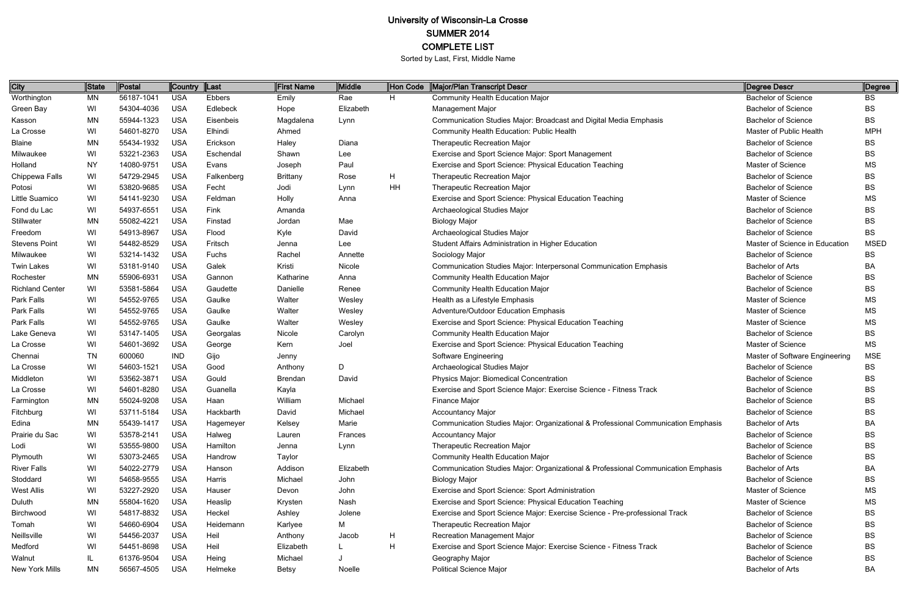| City                   | <b>State</b> | <b>Postal</b> | Country Last |            | <b>First Name</b> | Middle    | Hon Code | Major/Plan Transcript Descr                                                       | Degree Descr                   | Degree      |
|------------------------|--------------|---------------|--------------|------------|-------------------|-----------|----------|-----------------------------------------------------------------------------------|--------------------------------|-------------|
| Worthington            | MN           | 56187-1041    | <b>USA</b>   | Ebbers     | Emily             | Rae       | H.       | Community Health Education Major                                                  | <b>Bachelor of Science</b>     | <b>BS</b>   |
| Green Bay              | WI           | 54304-4036    | <b>USA</b>   | Edlebeck   | Hope              | Elizabeth |          | <b>Management Major</b>                                                           | <b>Bachelor of Science</b>     | <b>BS</b>   |
| Kasson                 | MN           | 55944-1323    | <b>USA</b>   | Eisenbeis  | Magdalena         | Lynn      |          | Communication Studies Major: Broadcast and Digital Media Emphasis                 | <b>Bachelor of Science</b>     | <b>BS</b>   |
| La Crosse              | WI           | 54601-8270    | <b>USA</b>   | Elhindi    | Ahmed             |           |          | <b>Community Health Education: Public Health</b>                                  | Master of Public Health        | <b>MPH</b>  |
| <b>Blaine</b>          | MN           | 55434-1932    | <b>USA</b>   | Erickson   | Haley             | Diana     |          | <b>Therapeutic Recreation Major</b>                                               | <b>Bachelor of Science</b>     | ВS          |
| Milwaukee              | WI           | 53221-2363    | <b>USA</b>   | Eschendal  | Shawn             | Lee       |          | Exercise and Sport Science Major: Sport Management                                | <b>Bachelor of Science</b>     | <b>BS</b>   |
| Holland                | NY           | 14080-9751    | <b>USA</b>   | Evans      | Joseph            | Paul      |          | Exercise and Sport Science: Physical Education Teaching                           | Master of Science              | <b>MS</b>   |
| Chippewa Falls         | WI           | 54729-2945    | <b>USA</b>   | Falkenberg | <b>Brittany</b>   | Rose      | H        | <b>Therapeutic Recreation Major</b>                                               | <b>Bachelor of Science</b>     | <b>BS</b>   |
| Potosi                 | WI           | 53820-9685    | <b>USA</b>   | Fecht      | Jodi              | Lynn      | HH       | <b>Therapeutic Recreation Major</b>                                               | <b>Bachelor of Science</b>     | <b>BS</b>   |
| Little Suamico         | WI           | 54141-9230    | <b>USA</b>   | Feldman    | Holly             | Anna      |          | Exercise and Sport Science: Physical Education Teaching                           | Master of Science              | <b>MS</b>   |
| Fond du Lac            | WI           | 54937-6551    | <b>USA</b>   | Fink       | Amanda            |           |          | Archaeological Studies Major                                                      | <b>Bachelor of Science</b>     | <b>BS</b>   |
| Stillwater             | <b>MN</b>    | 55082-4221    | <b>USA</b>   | Finstad    | Jordan            | Mae       |          | <b>Biology Major</b>                                                              | <b>Bachelor of Science</b>     | <b>BS</b>   |
| Freedom                | WI           | 54913-8967    | <b>USA</b>   | Flood      | Kyle              | David     |          | Archaeological Studies Major                                                      | <b>Bachelor of Science</b>     | <b>BS</b>   |
| <b>Stevens Point</b>   | WI           | 54482-8529    | <b>USA</b>   | Fritsch    | Jenna             | Lee       |          | Student Affairs Administration in Higher Education                                | Master of Science in Education | <b>MSED</b> |
| Milwaukee              | WI           | 53214-1432    | <b>USA</b>   | Fuchs      | Rachel            | Annette   |          | Sociology Major                                                                   | <b>Bachelor of Science</b>     | <b>BS</b>   |
| <b>Twin Lakes</b>      | WI           | 53181-9140    | <b>USA</b>   | Galek      | Kristi            | Nicole    |          | Communication Studies Major: Interpersonal Communication Emphasis                 | <b>Bachelor of Arts</b>        | BA          |
| Rochester              | MN           | 55906-6931    | <b>USA</b>   | Gannon     | Katharine         | Anna      |          | <b>Community Health Education Major</b>                                           | <b>Bachelor of Science</b>     | BS          |
| <b>Richland Center</b> | WI           | 53581-5864    | <b>USA</b>   | Gaudette   | Danielle          | Renee     |          | <b>Community Health Education Major</b>                                           | <b>Bachelor of Science</b>     | <b>BS</b>   |
| Park Falls             | WI           | 54552-9765    | <b>USA</b>   | Gaulke     | Walter            | Wesley    |          | Health as a Lifestyle Emphasis                                                    | Master of Science              | <b>MS</b>   |
| Park Falls             | WI           | 54552-9765    | <b>USA</b>   | Gaulke     | Walter            | Wesley    |          | Adventure/Outdoor Education Emphasis                                              | Master of Science              | <b>MS</b>   |
| Park Falls             | WI           | 54552-9765    | <b>USA</b>   | Gaulke     | Walter            | Wesley    |          | Exercise and Sport Science: Physical Education Teaching                           | Master of Science              | <b>MS</b>   |
| Lake Geneva            | WI           | 53147-1405    | <b>USA</b>   | Georgalas  | Nicole            | Carolyn   |          | <b>Community Health Education Major</b>                                           | <b>Bachelor of Science</b>     | <b>BS</b>   |
| La Crosse              | WI           | 54601-3692    | <b>USA</b>   | George     | Kern              | Joel      |          | Exercise and Sport Science: Physical Education Teaching                           | Master of Science              | <b>MS</b>   |
| Chennai                | ΤN           | 600060        | <b>IND</b>   | Gijo       | Jenny             |           |          | Software Engineering                                                              | Master of Software Engineering | <b>MSE</b>  |
| La Crosse              | WI           | 54603-1521    | <b>USA</b>   | Good       | Anthony           | D         |          | Archaeological Studies Major                                                      | <b>Bachelor of Science</b>     | <b>BS</b>   |
| Middleton              | WI           | 53562-3871    | <b>USA</b>   | Gould      | Brendan           | David     |          | Physics Major: Biomedical Concentration                                           | <b>Bachelor of Science</b>     | <b>BS</b>   |
| La Crosse              | WI           | 54601-8280    | <b>USA</b>   | Guanella   | Kayla             |           |          | Exercise and Sport Science Major: Exercise Science - Fitness Track                | <b>Bachelor of Science</b>     | <b>BS</b>   |
| Farmington             | <b>MN</b>    | 55024-9208    | <b>USA</b>   | Haan       | William           | Michael   |          | Finance Major                                                                     | <b>Bachelor of Science</b>     | ВS          |
| Fitchburg              | WI           | 53711-5184    | <b>USA</b>   | Hackbarth  | David             | Michael   |          | <b>Accountancy Major</b>                                                          | <b>Bachelor of Science</b>     | BS          |
| Edina                  | MN           | 55439-1417    | <b>USA</b>   | Hagemeyer  | Kelsey            | Marie     |          | Communication Studies Major: Organizational & Professional Communication Emphasis | Bachelor of Arts               | BA          |
| Prairie du Sac         | WI           | 53578-2141    | <b>USA</b>   | Halweg     | Lauren            | Frances   |          | <b>Accountancy Major</b>                                                          | <b>Bachelor of Science</b>     | BS          |
| Lodi                   | WI           | 53555-9800    | <b>USA</b>   | Hamilton   | Jenna             | Lynn      |          | <b>Therapeutic Recreation Major</b>                                               | <b>Bachelor of Science</b>     | BS          |
| Plymouth               | WI           | 53073-2465    | <b>USA</b>   | Handrow    | Taylor            |           |          | <b>Community Health Education Major</b>                                           | <b>Bachelor of Science</b>     | BS          |
| <b>River Falls</b>     | WI           | 54022-2779    | <b>USA</b>   | Hanson     | Addison           | Elizabeth |          | Communication Studies Major: Organizational & Professional Communication Emphasis | Bachelor of Arts               | <b>BA</b>   |
| Stoddard               | WI           | 54658-9555    | <b>USA</b>   | Harris     | Michael           | John      |          | <b>Biology Major</b>                                                              | <b>Bachelor of Science</b>     | BS          |
| <b>West Allis</b>      | WI           | 53227-2920    | <b>USA</b>   | Hauser     | Devon             | John      |          | Exercise and Sport Science: Sport Administration                                  | Master of Science              | MS          |
| Duluth                 | MN           | 55804-1620    | <b>USA</b>   | Heaslip    | Krysten           | Nash      |          | Exercise and Sport Science: Physical Education Teaching                           | Master of Science              | <b>MS</b>   |
| Birchwood              | WI           | 54817-8832    | <b>USA</b>   | Heckel     | Ashley            | Jolene    |          | Exercise and Sport Science Major: Exercise Science - Pre-professional Track       | <b>Bachelor of Science</b>     | <b>BS</b>   |
| Tomah                  | WI           | 54660-6904    | <b>USA</b>   | Heidemann  | Karlyee           | М         |          | <b>Therapeutic Recreation Major</b>                                               | <b>Bachelor of Science</b>     | <b>BS</b>   |
| Neillsville            | WI           | 54456-2037    | <b>USA</b>   | Heil       | Anthony           | Jacob     | H        | <b>Recreation Management Major</b>                                                | <b>Bachelor of Science</b>     | <b>BS</b>   |
| Medford                | WI           | 54451-8698    | <b>USA</b>   | Heil       | Elizabeth         |           | H        | Exercise and Sport Science Major: Exercise Science - Fitness Track                | <b>Bachelor of Science</b>     | BS          |
| Walnut                 | IL.          | 61376-9504    | <b>USA</b>   | Heing      | Michael           |           |          | Geography Major                                                                   | <b>Bachelor of Science</b>     | <b>BS</b>   |
| New York Mills         | MN           | 56567-4505    | <b>USA</b>   | Helmeke    | <b>Betsy</b>      | Noelle    |          | <b>Political Science Major</b>                                                    | Bachelor of Arts               | BA          |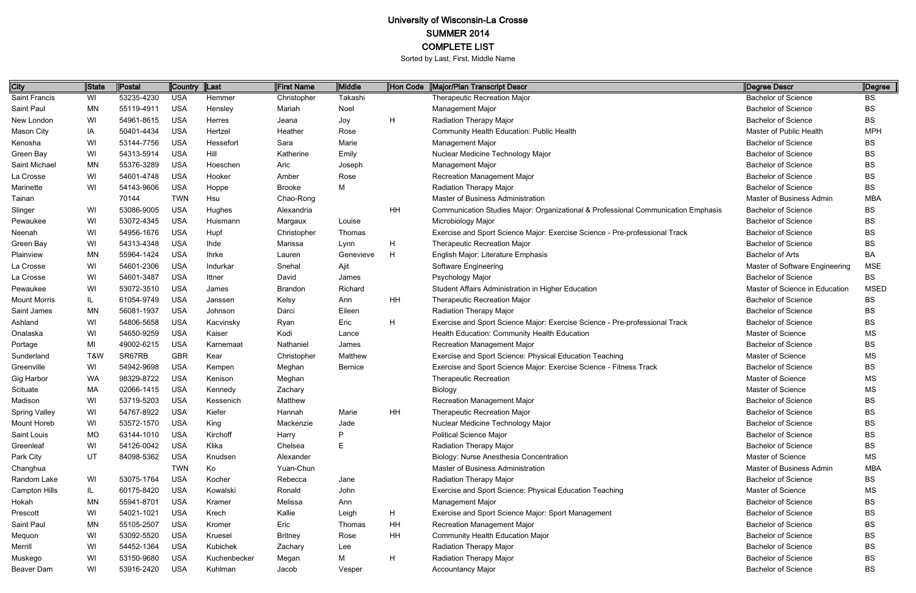| City                 | <b>State</b> | Postal     | Country    | $\ $ Last    | First Name     | Middle         | Hon Code      | Major/Plan Transcript Descr                                                       | Degree Descr                   | ∥Degree     |
|----------------------|--------------|------------|------------|--------------|----------------|----------------|---------------|-----------------------------------------------------------------------------------|--------------------------------|-------------|
| Saint Francis        | WI           | 53235-4230 | <b>USA</b> | Hemmer       | Christopher    | Takashi        |               | <b>Therapeutic Recreation Major</b>                                               | <b>Bachelor of Science</b>     | BS          |
| Saint Paul           | <b>MN</b>    | 55119-4911 | <b>USA</b> | Hensley      | Mariah         | Noel           |               | <b>Management Major</b>                                                           | <b>Bachelor of Science</b>     | BS          |
| New London           | WI           | 54961-8615 | <b>USA</b> | Herres       | Jeana          | Joy            | H             | <b>Radiation Therapy Major</b>                                                    | <b>Bachelor of Science</b>     | BS          |
| Mason City           | IA           | 50401-4434 | <b>USA</b> | Hertzel      | Heather        | Rose           |               | Community Health Education: Public Health                                         | Master of Public Health        | <b>MPH</b>  |
| Kenosha              | WI           | 53144-7756 | <b>USA</b> | Hessefort    | Sara           | Marie          |               | <b>Management Major</b>                                                           | <b>Bachelor of Science</b>     | BS          |
| Green Bay            | WI           | 54313-5914 | <b>USA</b> | Hill         | Katherine      | Emily          |               | Nuclear Medicine Technology Major                                                 | <b>Bachelor of Science</b>     | BS          |
| Saint Michael        | MN           | 55376-3289 | <b>USA</b> | Hoeschen     | Aric           | Joseph         |               | Management Major                                                                  | <b>Bachelor of Science</b>     | BS          |
| La Crosse            | WI           | 54601-4748 | <b>USA</b> | Hooker       | Amber          | Rose           |               | Recreation Management Major                                                       | <b>Bachelor of Science</b>     | BS          |
| Marinette            | WI           | 54143-9606 | <b>USA</b> | Hoppe        | <b>Brooke</b>  | М              |               | <b>Radiation Therapy Major</b>                                                    | <b>Bachelor of Science</b>     | BS          |
| Tainan               |              | 70144      | <b>TWN</b> | Hsu          | Chao-Rong      |                |               | <b>Master of Business Administration</b>                                          | Master of Business Admin       | <b>MBA</b>  |
| Slinger              | WI           | 53086-9005 | <b>USA</b> | Hughes       | Alexandria     |                | HH            | Communication Studies Major: Organizational & Professional Communication Emphasis | <b>Bachelor of Science</b>     | BS          |
| Pewaukee             | WI           | 53072-4345 | <b>USA</b> | Huismann     | Margaux        | Louise         |               | Microbiology Major                                                                | <b>Bachelor of Science</b>     | BS          |
| Neenah               | WI           | 54956-1676 | <b>USA</b> | Hupf         | Christopher    | Thomas         |               | Exercise and Sport Science Major: Exercise Science - Pre-professional Track       | <b>Bachelor of Science</b>     | BS          |
| Green Bay            | WI           | 54313-4348 | <b>USA</b> | Ihde         | Marissa        | Lynn           | H             | <b>Therapeutic Recreation Major</b>                                               | <b>Bachelor of Science</b>     | BS          |
| Plainview            | MN           | 55964-1424 | <b>USA</b> | <b>Ihrke</b> | Lauren         | Genevieve      | H             | English Major: Literature Emphasis                                                | <b>Bachelor of Arts</b>        | BA          |
| La Crosse            | WI           | 54601-2306 | <b>USA</b> | Indurkar     | Snehal         | Ajit           |               | Software Engineering                                                              | Master of Software Engineering | <b>MSE</b>  |
| La Crosse            | WI           | 54601-3487 | <b>USA</b> | Ittner       | David          | James          |               | Psychology Major                                                                  | <b>Bachelor of Science</b>     | BS          |
| Pewaukee             | WI           | 53072-3510 | <b>USA</b> | James        | <b>Brandon</b> | Richard        |               | Student Affairs Administration in Higher Education                                | Master of Science in Education | <b>MSED</b> |
| <b>Mount Morris</b>  | IL           | 61054-9749 | <b>USA</b> | Janssen      | Kelsy          | Ann            | HH            | <b>Therapeutic Recreation Major</b>                                               | <b>Bachelor of Science</b>     | BS          |
| Saint James          | <b>MN</b>    | 56081-1937 | <b>USA</b> | Johnson      | Darci          | Eileen         |               | <b>Radiation Therapy Major</b>                                                    | <b>Bachelor of Science</b>     | BS          |
| Ashland              | WI           | 54806-5658 | <b>USA</b> | Kacvinsky    | Ryan           | Eric           | H             | Exercise and Sport Science Major: Exercise Science - Pre-professional Track       | <b>Bachelor of Science</b>     | BS          |
| Onalaska             | WI           | 54650-9259 | <b>USA</b> | Kaiser       | Kodi           | Lance          |               | Health Education: Community Health Education                                      | Master of Science              | MS          |
| Portage              | MI           | 49002-6215 | <b>USA</b> | Karnemaat    | Nathaniel      | James          |               | Recreation Management Major                                                       | <b>Bachelor of Science</b>     | BS          |
| Sunderland           | T&W          | SR67RB     | <b>GBR</b> | Kear         | Christopher    | Matthew        |               | Exercise and Sport Science: Physical Education Teaching                           | Master of Science              | ΜS          |
| Greenville           | WI           | 54942-9698 | <b>USA</b> | Kempen       | Meghan         | <b>Bernice</b> |               | Exercise and Sport Science Major: Exercise Science - Fitness Track                | <b>Bachelor of Science</b>     | BS          |
| Gig Harbor           | <b>WA</b>    | 98329-8722 | <b>USA</b> | Kenison      | Meghan         |                |               | <b>Therapeutic Recreation</b>                                                     | Master of Science              | MS          |
| Scituate             | MA           | 02066-1415 | <b>USA</b> | Kennedy      | Zachary        |                |               | Biology                                                                           | Master of Science              | МS          |
| Madison              | WI           | 53719-5203 | <b>USA</b> | Kessenich    | Matthew        |                |               | Recreation Management Major                                                       | <b>Bachelor of Science</b>     | BS          |
| <b>Spring Valley</b> | WI           | 54767-8922 | <b>USA</b> | Kiefer       | Hannah         | Marie          | HH            | <b>Therapeutic Recreation Major</b>                                               | <b>Bachelor of Science</b>     | <b>BS</b>   |
| <b>Mount Horeb</b>   | WI           | 53572-1570 | USA        | King         | Mackenzie      | Jade           |               | Nuclear Medicine Technology Major                                                 | <b>Bachelor of Science</b>     | BS          |
| Saint Louis          | <b>MO</b>    | 63144-1010 | <b>USA</b> | Kirchoff     | Harry          | P              |               | <b>Political Science Major</b>                                                    | <b>Bachelor of Science</b>     | BS          |
| Greenleaf            | WI           | 54126-0042 | USA        | Klika        | Chelsea        | E              |               | <b>Radiation Therapy Major</b>                                                    | <b>Bachelor of Science</b>     | BS          |
| Park City            | UT           | 84098-5362 | <b>USA</b> | Knudsen      | Alexander      |                |               | Biology: Nurse Anesthesia Concentration                                           | Master of Science              | MS          |
| Changhua             |              |            | <b>TWN</b> | Ko           | Yuan-Chun      |                |               | Master of Business Administration                                                 | Master of Business Admin       | <b>MBA</b>  |
| Random Lake          | WI           | 53075-1764 | <b>USA</b> | Kocher       | Rebecca        | Jane           |               | Radiation Therapy Major                                                           | <b>Bachelor of Science</b>     | BS          |
| <b>Campton Hills</b> | IL           | 60175-8420 | USA        | Kowalski     | Ronald         | John           |               | Exercise and Sport Science: Physical Education Teaching                           | Master of Science              | ΜS          |
| Hokah                | MN           | 55941-8701 | <b>USA</b> | Kramer       | Melissa        | Ann            |               | Management Major                                                                  | <b>Bachelor of Science</b>     | BS          |
| Prescott             | WI           | 54021-1021 | <b>USA</b> | Krech        | Kallie         | Leigh          | H             | Exercise and Sport Science Major: Sport Management                                | <b>Bachelor of Science</b>     | BS          |
| Saint Paul           | <b>MN</b>    | 55105-2507 | <b>USA</b> | Kromer       | Eric           | Thomas         | HH            | Recreation Management Major                                                       | <b>Bachelor of Science</b>     | BS          |
| Mequon               | WI           | 53092-5520 | <b>USA</b> | Kruesel      | <b>Britney</b> | Rose           | HH            | <b>Community Health Education Major</b>                                           | <b>Bachelor of Science</b>     | BS          |
| Merrill              | WI           | 54452-1364 | <b>USA</b> | Kubichek     | Zachary        | Lee            |               | Radiation Therapy Major                                                           | <b>Bachelor of Science</b>     | BS          |
| Muskego              | WI           | 53150-9680 | <b>USA</b> | Kuchenbecker | Megan          | М              | $\mathsf{H}%$ | Radiation Therapy Major                                                           | <b>Bachelor of Science</b>     | BS          |
| Beaver Dam           | WI           | 53916-2420 | <b>USA</b> | Kuhlman      | Jacob          | Vesper         |               | Accountancy Major                                                                 | <b>Bachelor of Science</b>     | BS          |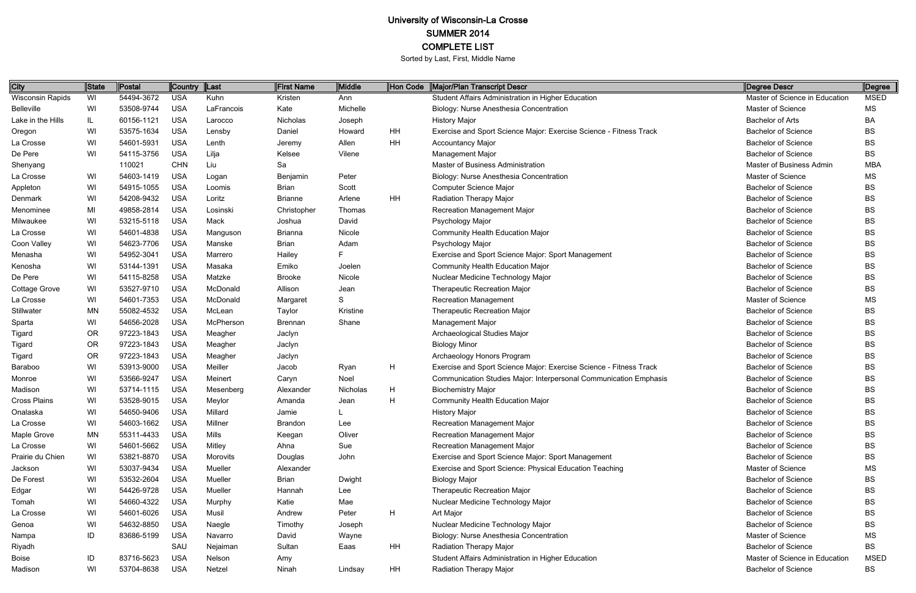| City                    | State | Postal     | Country    | Last       | <b>First Name</b> | Middle   | Hon Code | Major/Plan Transcript Descr                                        | Degree Descr                   | Degree      |
|-------------------------|-------|------------|------------|------------|-------------------|----------|----------|--------------------------------------------------------------------|--------------------------------|-------------|
| <b>Wisconsin Rapids</b> | WI    | 54494-3672 | <b>USA</b> | Kuhn       | Kristen           | Ann      |          | Student Affairs Administration in Higher Education                 | Master of Science in Education | <b>MSED</b> |
| <b>Belleville</b>       | WI    | 53508-9744 | <b>USA</b> | LaFrancois | Kate              | Michelle |          | Biology: Nurse Anesthesia Concentration                            | Master of Science              | MS          |
| Lake in the Hills       | IL.   | 60156-1121 | <b>USA</b> | Larocco    | Nicholas          | Joseph   |          | <b>History Major</b>                                               | <b>Bachelor of Arts</b>        | BA          |
| Oregon                  | WI    | 53575-1634 | <b>USA</b> | Lensby     | Daniel            | Howard   | HH       | Exercise and Sport Science Major: Exercise Science - Fitness Track | <b>Bachelor of Science</b>     | <b>BS</b>   |
| La Crosse               | WI    | 54601-5931 | <b>USA</b> | Lenth      | Jeremy            | Allen    | HH       | <b>Accountancy Major</b>                                           | <b>Bachelor of Science</b>     | <b>BS</b>   |
| De Pere                 | WI    | 54115-3756 | <b>USA</b> | Lilja      | Kelsee            | Vilene   |          | <b>Management Major</b>                                            | <b>Bachelor of Science</b>     | <b>BS</b>   |
| Shenyang                |       | 110021     | <b>CHN</b> | Liu        | Sa                |          |          | Master of Business Administration                                  | Master of Business Admin       | MBA         |
| La Crosse               | WI    | 54603-1419 | <b>USA</b> | Logan      | Benjamin          | Peter    |          | Biology: Nurse Anesthesia Concentration                            | Master of Science              | ΜS          |
| Appleton                | WI    | 54915-1055 | <b>USA</b> | Loomis     | <b>Brian</b>      | Scott    |          | Computer Science Major                                             | <b>Bachelor of Science</b>     | <b>BS</b>   |
| Denmark                 | WI    | 54208-9432 | <b>USA</b> | Loritz     | <b>Brianne</b>    | Arlene   | HH       | <b>Radiation Therapy Major</b>                                     | <b>Bachelor of Science</b>     | <b>BS</b>   |
| Menominee               | MI    | 49858-2814 | <b>USA</b> | Losinski   | Christopher       | Thomas   |          | <b>Recreation Management Major</b>                                 | <b>Bachelor of Science</b>     | BS          |
| Milwaukee               | WI    | 53215-5118 | <b>USA</b> | Mack       | Joshua            | David    |          | Psychology Major                                                   | <b>Bachelor of Science</b>     | <b>BS</b>   |
| La Crosse               | WI    | 54601-4838 | <b>USA</b> | Manguson   | <b>Brianna</b>    | Nicole   |          | <b>Community Health Education Major</b>                            | <b>Bachelor of Science</b>     | <b>BS</b>   |
| Coon Valley             | WI    | 54623-7706 | <b>USA</b> | Manske     | <b>Brian</b>      | Adam     |          | Psychology Major                                                   | <b>Bachelor of Science</b>     | <b>BS</b>   |
| Menasha                 | WI    | 54952-3041 | <b>USA</b> | Marrero    | Hailey            | F        |          | Exercise and Sport Science Major: Sport Management                 | <b>Bachelor of Science</b>     | <b>BS</b>   |
| Kenosha                 | WI    | 53144-1391 | <b>USA</b> | Masaka     | Emiko             | Joelen   |          | Community Health Education Major                                   | <b>Bachelor of Science</b>     | <b>BS</b>   |
| De Pere                 | WI    | 54115-8258 | <b>USA</b> | Matzke     | <b>Brooke</b>     | Nicole   |          | Nuclear Medicine Technology Major                                  | <b>Bachelor of Science</b>     | <b>BS</b>   |
| Cottage Grove           | WI    | 53527-9710 | <b>USA</b> | McDonald   | Allison           | Jean     |          | <b>Therapeutic Recreation Major</b>                                | <b>Bachelor of Science</b>     | <b>BS</b>   |
| La Crosse               | WI    | 54601-7353 | <b>USA</b> | McDonald   | Margaret          | S        |          | <b>Recreation Management</b>                                       | Master of Science              | MS          |
| Stillwater              | ΜN    | 55082-4532 | <b>USA</b> | McLean     | Taylor            | Kristine |          | Therapeutic Recreation Major                                       | <b>Bachelor of Science</b>     | <b>BS</b>   |
| Sparta                  | WI    | 54656-2028 | <b>USA</b> | McPherson  | <b>Brennan</b>    | Shane    |          | <b>Management Major</b>                                            | <b>Bachelor of Science</b>     | <b>BS</b>   |
| Tigard                  | 0R    | 97223-1843 | <b>USA</b> | Meagher    | Jaclyn            |          |          | Archaeological Studies Major                                       | <b>Bachelor of Science</b>     | <b>BS</b>   |
| Tigard                  | 0R    | 97223-1843 | <b>USA</b> | Meagher    | Jaclyn            |          |          | <b>Biology Minor</b>                                               | <b>Bachelor of Science</b>     | <b>BS</b>   |
| Tigard                  | 0R    | 97223-1843 | <b>USA</b> | Meagher    | Jaclyn            |          |          | Archaeology Honors Program                                         | <b>Bachelor of Science</b>     | <b>BS</b>   |
| Baraboo                 | WI    | 53913-9000 | <b>USA</b> | Meiller    | Jacob             | Ryan     | н        | Exercise and Sport Science Major: Exercise Science - Fitness Track | <b>Bachelor of Science</b>     | <b>BS</b>   |
| Monroe                  | WI    | 53566-9247 | <b>USA</b> | Meinert    | Caryn             | Noel     |          | Communication Studies Major: Interpersonal Communication Emphasis  | <b>Bachelor of Science</b>     | BS          |
| Madison                 | WI    | 53714-1115 | <b>USA</b> | Mesenberg  | Alexander         | Nicholas | Н        | <b>Biochemistry Major</b>                                          | <b>Bachelor of Science</b>     | <b>BS</b>   |
| Cross Plains            | WI    | 53528-9015 | <b>USA</b> | Meylor     | Amanda            | Jean     | H.       | <b>Community Health Education Major</b>                            | <b>Bachelor of Science</b>     | <b>BS</b>   |
| Onalaska                | WI    | 54650-9406 | <b>USA</b> | Millard    | Jamie             |          |          | <b>History Major</b>                                               | <b>Bachelor of Science</b>     | <b>BS</b>   |
| La Crosse               | WI    | 54603-1662 | <b>USA</b> | Millner    | <b>Brandon</b>    | Lee      |          | <b>Recreation Management Major</b>                                 | <b>Bachelor of Science</b>     | <b>BS</b>   |
| Maple Grove             | ΜN    | 55311-4433 | <b>USA</b> | Mills      | Keegan            | Oliver   |          | Recreation Management Major                                        | <b>Bachelor of Science</b>     | <b>BS</b>   |
| La Crosse               | WI    | 54601-5662 | <b>USA</b> | Mitley     | Ahna              | Sue      |          | <b>Recreation Management Major</b>                                 | <b>Bachelor of Science</b>     | <b>BS</b>   |
| Prairie du Chien        | WI    | 53821-8870 | <b>USA</b> | Morovits   | Douglas           | John     |          | Exercise and Sport Science Major: Sport Management                 | <b>Bachelor of Science</b>     | <b>BS</b>   |
| Jackson                 | WI    | 53037-9434 | <b>USA</b> | Mueller    | Alexander         |          |          | Exercise and Sport Science: Physical Education Teaching            | Master of Science              | MS          |
| De Forest               | WI    | 53532-2604 | <b>USA</b> | Mueller    | Brian             | Dwight   |          | <b>Biology Major</b>                                               | <b>Bachelor of Science</b>     | <b>BS</b>   |
| Edgar                   | WI    | 54426-9728 | <b>USA</b> | Mueller    | Hannah            | Lee      |          | Therapeutic Recreation Major                                       | <b>Bachelor of Science</b>     | <b>BS</b>   |
| Tomah                   | WI    | 54660-4322 | <b>USA</b> | Murphy     | Katie             | Mae      |          | Nuclear Medicine Technology Major                                  | <b>Bachelor of Science</b>     | <b>BS</b>   |
| La Crosse               | WI    | 54601-6026 | <b>USA</b> | Musil      | Andrew            | Peter    | H        | Art Major                                                          | <b>Bachelor of Science</b>     | BS          |
| Genoa                   | WI    | 54632-8850 | <b>USA</b> | Naegle     | Timothy           | Joseph   |          | Nuclear Medicine Technology Major                                  | <b>Bachelor of Science</b>     | BS          |
| Nampa                   | ID    | 83686-5199 | <b>USA</b> | Navarro    | David             | Wayne    |          | Biology: Nurse Anesthesia Concentration                            | Master of Science              | MS          |
| Riyadh                  |       |            | SAU        | Nejaiman   | Sultan            | Eaas     | HH       | <b>Radiation Therapy Major</b>                                     | <b>Bachelor of Science</b>     | BS          |
| <b>Boise</b>            | ID    | 83716-5623 | <b>USA</b> | Nelson     | Amy               |          |          | Student Affairs Administration in Higher Education                 | Master of Science in Education | <b>MSED</b> |
| Madison                 | WI    | 53704-8638 | <b>USA</b> | Netzel     | Ninah             | Lindsay  | HH       | <b>Radiation Therapy Major</b>                                     | <b>Bachelor of Science</b>     | BS          |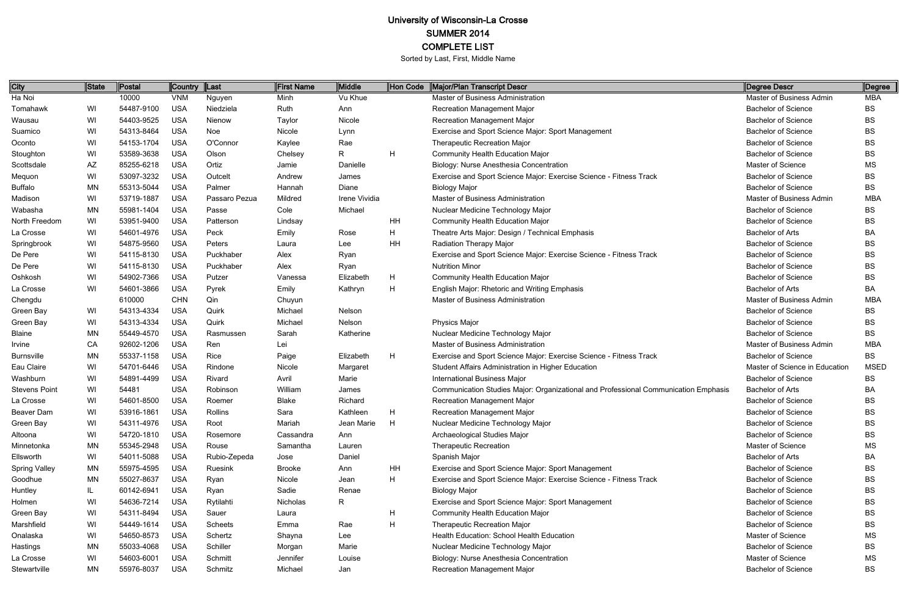| City                 | State     | Postal     | Country    | $\ $ Last      | First Name    | <b>Middle</b> | Hon Code | Major/Plan Transcript Descr                                                         | Degree Descr                   | <b>Degree</b> |
|----------------------|-----------|------------|------------|----------------|---------------|---------------|----------|-------------------------------------------------------------------------------------|--------------------------------|---------------|
| Ha Noi               |           | 10000      | <b>VNM</b> | Nguyen         | Minh          | Vu Khue       |          | Master of Business Administration                                                   | Master of Business Admin       | <b>MBA</b>    |
| Tomahawk             | WI        | 54487-9100 | <b>USA</b> | Niedziela      | Ruth          | Ann           |          | <b>Recreation Management Major</b>                                                  | <b>Bachelor of Science</b>     | <b>BS</b>     |
| Wausau               | WI        | 54403-9525 | <b>USA</b> | Nienow         | Taylor        | Nicole        |          | <b>Recreation Management Major</b>                                                  | <b>Bachelor of Science</b>     | <b>BS</b>     |
| Suamico              | WI        | 54313-8464 | <b>USA</b> | Noe            | Nicole        | Lynn          |          | Exercise and Sport Science Major: Sport Management                                  | <b>Bachelor of Science</b>     | <b>BS</b>     |
| Oconto               | WI        | 54153-1704 | <b>USA</b> | O'Connor       | Kaylee        | Rae           |          | Therapeutic Recreation Major                                                        | <b>Bachelor of Science</b>     | <b>BS</b>     |
| Stoughton            | WI        | 53589-3638 | <b>USA</b> | Olson          | Chelsey       | R.            | H        | <b>Community Health Education Major</b>                                             | <b>Bachelor of Science</b>     | <b>BS</b>     |
| Scottsdale           | AZ        | 85255-6218 | <b>USA</b> | Ortiz          | Jamie         | Danielle      |          | Biology: Nurse Anesthesia Concentration                                             | Master of Science              | MS            |
| Mequon               | WI        | 53097-3232 | <b>USA</b> | Outcelt        | Andrew        | James         |          | Exercise and Sport Science Major: Exercise Science - Fitness Track                  | <b>Bachelor of Science</b>     | <b>BS</b>     |
| <b>Buffalo</b>       | <b>MN</b> | 55313-5044 | <b>USA</b> | Palmer         | Hannah        | Diane         |          | <b>Biology Major</b>                                                                | <b>Bachelor of Science</b>     | <b>BS</b>     |
| Madison              | WI        | 53719-1887 | <b>USA</b> | Passaro Pezua  | Mildred       | Irene Vividia |          | Master of Business Administration                                                   | Master of Business Admin       | <b>MBA</b>    |
| Wabasha              | MN        | 55981-1404 | <b>USA</b> | Passe          | Cole          | Michael       |          | Nuclear Medicine Technology Major                                                   | <b>Bachelor of Science</b>     | ВS            |
| North Freedom        | WI        | 53951-9400 | <b>USA</b> | Patterson      | Lindsay       |               | HH       | <b>Community Health Education Major</b>                                             | <b>Bachelor of Science</b>     | <b>BS</b>     |
| La Crosse            | WI        | 54601-4976 | <b>USA</b> | Peck           | Emily         | Rose          | H        | Theatre Arts Major: Design / Technical Emphasis                                     | <b>Bachelor of Arts</b>        | <b>BA</b>     |
| Springbrook          | WI        | 54875-9560 | <b>USA</b> | Peters         | Laura         | Lee           | HH       | <b>Radiation Therapy Major</b>                                                      | <b>Bachelor of Science</b>     | <b>BS</b>     |
| De Pere              | WI        | 54115-8130 | <b>USA</b> | Puckhaber      | Alex          | Ryan          |          | Exercise and Sport Science Major: Exercise Science - Fitness Track                  | <b>Bachelor of Science</b>     | <b>BS</b>     |
| De Pere              | WI        | 54115-8130 | <b>USA</b> | Puckhaber      | Alex          | Ryan          |          | <b>Nutrition Minor</b>                                                              | <b>Bachelor of Science</b>     | <b>BS</b>     |
| Oshkosh              | WI        | 54902-7366 | <b>USA</b> | Putzer         | Vanessa       | Elizabeth     | H        | <b>Community Health Education Major</b>                                             | <b>Bachelor of Science</b>     | <b>BS</b>     |
| La Crosse            | WI        | 54601-3866 | <b>USA</b> | Pyrek          | Emily         | Kathryn       | H        | English Major: Rhetoric and Writing Emphasis                                        | <b>Bachelor of Arts</b>        | BA            |
| Chengdu              |           | 610000     | <b>CHN</b> | Qin            | Chuyun        |               |          | Master of Business Administration                                                   | Master of Business Admin       | MBA           |
| Green Bay            | WI        | 54313-4334 | <b>USA</b> | Quirk          | Michael       | Nelson        |          |                                                                                     | <b>Bachelor of Science</b>     | <b>BS</b>     |
| Green Bay            | WI        | 54313-4334 | <b>USA</b> | Quirk          | Michael       | Nelson        |          | <b>Physics Major</b>                                                                | <b>Bachelor of Science</b>     | BS            |
| <b>Blaine</b>        | ΜN        | 55449-4570 | <b>USA</b> | Rasmussen      | Sarah         | Katherine     |          | Nuclear Medicine Technology Major                                                   | <b>Bachelor of Science</b>     | <b>BS</b>     |
| Irvine               | CA        | 92602-1206 | <b>USA</b> | Ren            | Lei           |               |          | Master of Business Administration                                                   | Master of Business Admin       | <b>MBA</b>    |
| <b>Burnsville</b>    | ΜN        | 55337-1158 | <b>USA</b> | Rice           | Paige         | Elizabeth     | H        | Exercise and Sport Science Major: Exercise Science - Fitness Track                  | <b>Bachelor of Science</b>     | <b>BS</b>     |
| Eau Claire           | WI        | 54701-6446 | <b>USA</b> | Rindone        | Nicole        | Margaret      |          | Student Affairs Administration in Higher Education                                  | Master of Science in Education | <b>MSED</b>   |
| Washburn             | WI        | 54891-4499 | <b>USA</b> | Rivard         | Avril         | Marie         |          | <b>International Business Major</b>                                                 | <b>Bachelor of Science</b>     | <b>BS</b>     |
| <b>Stevens Point</b> | WI        | 54481      | <b>USA</b> | Robinson       | William       | James         |          | Communication Studies Major: Organizational and Professional Communication Emphasis | <b>Bachelor of Arts</b>        | BA            |
| La Crosse            | WI        | 54601-8500 | <b>USA</b> | Roemer         | <b>Blake</b>  | Richard       |          | Recreation Management Major                                                         | <b>Bachelor of Science</b>     | BS            |
| Beaver Dam           | WI        | 53916-1861 | <b>USA</b> | <b>Rollins</b> | Sara          | Kathleen      | H.       | Recreation Management Major                                                         | <b>Bachelor of Science</b>     | BS            |
| Green Bay            | WI        | 54311-4976 | <b>USA</b> | Root           | Mariah        | Jean Marie    | H        | Nuclear Medicine Technology Major                                                   | <b>Bachelor of Science</b>     | <b>BS</b>     |
| Altoona              | WI        | 54720-1810 | <b>USA</b> | Rosemore       | Cassandra     | Ann           |          | Archaeological Studies Major                                                        | <b>Bachelor of Science</b>     | BS            |
| Minnetonka           | MN        | 55345-2948 | <b>USA</b> | Rouse          | Samantha      | Lauren        |          | <b>Therapeutic Recreation</b>                                                       | Master of Science              | MS            |
| Ellsworth            | WI        | 54011-5088 | <b>USA</b> | Rubio-Zepeda   | Jose          | Daniel        |          | Spanish Major                                                                       | Bachelor of Arts               | ΒA            |
| <b>Spring Valley</b> | MN        | 55975-4595 | <b>USA</b> | Ruesink        | <b>Brooke</b> | Ann           | HH       | Exercise and Sport Science Major: Sport Management                                  | <b>Bachelor of Science</b>     | <b>BS</b>     |
| Goodhue              | MN        | 55027-8637 | <b>USA</b> | Ryan           | Nicole        | Jean          | H        | Exercise and Sport Science Major: Exercise Science - Fitness Track                  | <b>Bachelor of Science</b>     | BS            |
| Huntley              | IL        | 60142-6941 | <b>USA</b> | Ryan           | Sadie         | Renae         |          | <b>Biology Major</b>                                                                | <b>Bachelor of Science</b>     | BS            |
| Holmen               | WI        | 54636-7214 | <b>USA</b> | Rytilahti      | Nicholas      | R.            |          | Exercise and Sport Science Major: Sport Management                                  | <b>Bachelor of Science</b>     | BS            |
| Green Bay            | WI        | 54311-8494 | <b>USA</b> | Sauer          | Laura         |               | H        | <b>Community Health Education Major</b>                                             | <b>Bachelor of Science</b>     | BS            |
| Marshfield           | WI        | 54449-1614 | <b>USA</b> | Scheets        | Emma          | Rae           | H        | Therapeutic Recreation Major                                                        | <b>Bachelor of Science</b>     | BS            |
| Onalaska             | WI        | 54650-8573 | <b>USA</b> | Schertz        | Shayna        | Lee           |          | Health Education: School Health Education                                           | Master of Science              | <b>MS</b>     |
| Hastings             | MN        | 55033-4068 | <b>USA</b> | Schiller       | Morgan        | Marie         |          | Nuclear Medicine Technology Major                                                   | <b>Bachelor of Science</b>     | BS            |
| La Crosse            | WI        | 54603-6001 | <b>USA</b> | Schmitt        | Jennifer      | Louise        |          | Biology: Nurse Anesthesia Concentration                                             | Master of Science              | MS            |
| Stewartville         | MN        | 55976-8037 | <b>USA</b> | Schmitz        | Michael       | Jan           |          | Recreation Management Major                                                         | <b>Bachelor of Science</b>     | BS            |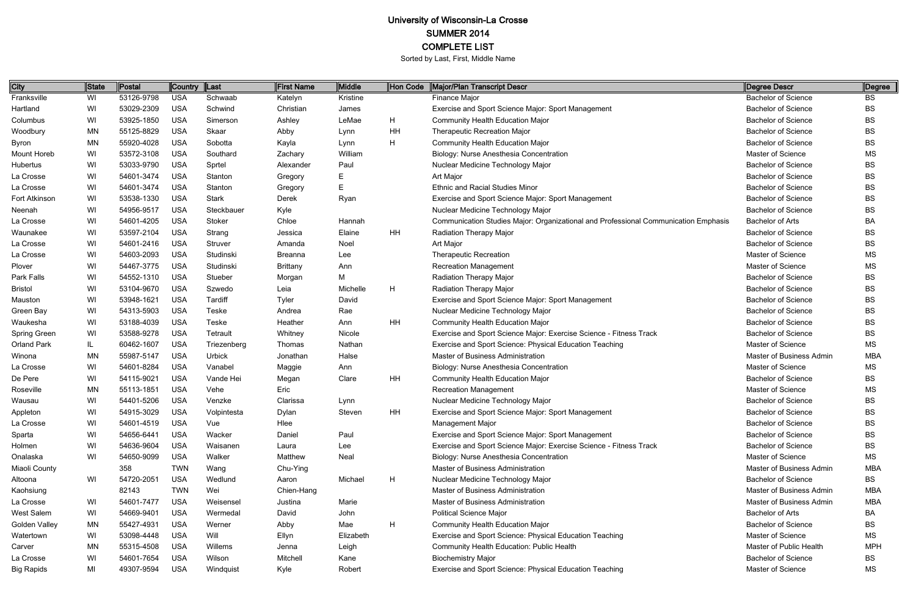| City               | <b>State</b> | Postal     | Country    | Last          | <b>First Name</b> | <b>Middle</b> | Hon Code | Major/Plan Transcript Descr                                                         | Degree Descr               | Degree     |
|--------------------|--------------|------------|------------|---------------|-------------------|---------------|----------|-------------------------------------------------------------------------------------|----------------------------|------------|
| Franksville        | WI           | 53126-9798 | <b>USA</b> | Schwaab       | Katelyn           | Kristine      |          | Finance Major                                                                       | <b>Bachelor of Science</b> | BS         |
| Hartland           | WI           | 53029-2309 | <b>USA</b> | Schwind       | Christian         | James         |          | Exercise and Sport Science Major: Sport Management                                  | <b>Bachelor of Science</b> | <b>BS</b>  |
| Columbus           | WI           | 53925-1850 | <b>USA</b> | Simerson      | Ashley            | LeMae         | H        | Community Health Education Major                                                    | <b>Bachelor of Science</b> | <b>BS</b>  |
| Woodbury           | <b>MN</b>    | 55125-8829 | <b>USA</b> | Skaar         | Abby              | Lynn          | HH       | <b>Therapeutic Recreation Major</b>                                                 | <b>Bachelor of Science</b> | BS         |
| Byron              | <b>MN</b>    | 55920-4028 | <b>USA</b> | Sobotta       | Kayla             | Lynn          | H        | Community Health Education Major                                                    | <b>Bachelor of Science</b> | <b>BS</b>  |
| Mount Horeb        | WI           | 53572-3108 | <b>USA</b> | Southard      | Zachary           | William       |          | Biology: Nurse Anesthesia Concentration                                             | Master of Science          | <b>MS</b>  |
| Hubertus           | WI           | 53033-9790 | <b>USA</b> | Sprtel        | Alexander         | Paul          |          | Nuclear Medicine Technology Major                                                   | <b>Bachelor of Science</b> | <b>BS</b>  |
| La Crosse          | WI           | 54601-3474 | <b>USA</b> | Stanton       | Gregory           | E             |          | Art Major                                                                           | <b>Bachelor of Science</b> | <b>BS</b>  |
| La Crosse          | WI           | 54601-3474 | <b>USA</b> | Stanton       | Gregory           | E             |          | <b>Ethnic and Racial Studies Minor</b>                                              | <b>Bachelor of Science</b> | <b>BS</b>  |
| Fort Atkinson      | WI           | 53538-1330 | <b>USA</b> | <b>Stark</b>  | Derek             | Ryan          |          | Exercise and Sport Science Major: Sport Management                                  | <b>Bachelor of Science</b> | <b>BS</b>  |
| Neenah             | WI           | 54956-9517 | <b>USA</b> | Steckbauer    | Kyle              |               |          | Nuclear Medicine Technology Major                                                   | <b>Bachelor of Science</b> | <b>BS</b>  |
| La Crosse          | WI           | 54601-4205 | <b>USA</b> | Stoker        | Chloe             | Hannah        |          | Communication Studies Major: Organizational and Professional Communication Emphasis | Bachelor of Arts           | BA         |
| Waunakee           | WI           | 53597-2104 | <b>USA</b> | Strang        | Jessica           | Elaine        | HH       | Radiation Therapy Major                                                             | <b>Bachelor of Science</b> | <b>BS</b>  |
| La Crosse          | WI           | 54601-2416 | <b>USA</b> | Struver       | Amanda            | Noel          |          | Art Major                                                                           | <b>Bachelor of Science</b> | <b>BS</b>  |
| La Crosse          | WI           | 54603-2093 | <b>USA</b> | Studinski     | <b>Breanna</b>    | Lee           |          | <b>Therapeutic Recreation</b>                                                       | Master of Science          | <b>MS</b>  |
| Plover             | WI           | 54467-3775 | <b>USA</b> | Studinski     | <b>Brittany</b>   | Ann           |          | <b>Recreation Management</b>                                                        | Master of Science          | <b>MS</b>  |
| Park Falls         | WI           | 54552-1310 | <b>USA</b> | Stueber       | Morgan            | М             |          | Radiation Therapy Major                                                             | <b>Bachelor of Science</b> | <b>BS</b>  |
| <b>Bristol</b>     | WI           | 53104-9670 | <b>USA</b> | Szwedo        | Leia              | Michelle      | H        | Radiation Therapy Major                                                             | <b>Bachelor of Science</b> | <b>BS</b>  |
| Mauston            | WI           | 53948-1621 | <b>USA</b> | Tardiff       | Tyler             | David         |          | Exercise and Sport Science Major: Sport Management                                  | <b>Bachelor of Science</b> | <b>BS</b>  |
| Green Bay          | WI           | 54313-5903 | <b>USA</b> | Teske         | Andrea            | Rae           |          | Nuclear Medicine Technology Major                                                   | <b>Bachelor of Science</b> | BS         |
| Waukesha           | WI           | 53188-4039 | <b>USA</b> | Teske         | Heather           | Ann           | HH       | <b>Community Health Education Major</b>                                             | <b>Bachelor of Science</b> | <b>BS</b>  |
| Spring Green       | WI           | 53588-9278 | <b>USA</b> | Tetrault      | Whitney           | Nicole        |          | Exercise and Sport Science Major: Exercise Science - Fitness Track                  | <b>Bachelor of Science</b> | <b>BS</b>  |
| <b>Orland Park</b> | IL           | 60462-1607 | <b>USA</b> | Triezenberg   | Thomas            | Nathan        |          | Exercise and Sport Science: Physical Education Teaching                             | Master of Science          | <b>MS</b>  |
| Winona             | MN           | 55987-5147 | <b>USA</b> | <b>Urbick</b> | Jonathan          | Halse         |          | Master of Business Administration                                                   | Master of Business Admin   | <b>MBA</b> |
| La Crosse          | WI           | 54601-8284 | <b>USA</b> | Vanabel       | Maggie            | Ann           |          | Biology: Nurse Anesthesia Concentration                                             | Master of Science          | <b>MS</b>  |
| De Pere            | WI           | 54115-9021 | <b>USA</b> | Vande Hei     | Megan             | Clare         | HH       | Community Health Education Major                                                    | <b>Bachelor of Science</b> | <b>BS</b>  |
| Roseville          | <b>MN</b>    | 55113-1851 | <b>USA</b> | Vehe          | Eric              |               |          | <b>Recreation Management</b>                                                        | Master of Science          | MS         |
| Wausau             | WI           | 54401-5206 | <b>USA</b> | Venzke        | Clarissa          | Lynn          |          | Nuclear Medicine Technology Major                                                   | <b>Bachelor of Science</b> | <b>BS</b>  |
| Appleton           |              | 54915-3029 | <b>USA</b> | Volpintesta   | Dylan             | Steven        | HH       | Exercise and Sport Science Major: Sport Management                                  | <b>Bachelor of Science</b> | <b>BS</b>  |
| La Crosse          | WI           | 54601-4519 | <b>USA</b> | Vue           | Hlee              |               |          | <b>Management Major</b>                                                             | <b>Bachelor of Science</b> | <b>BS</b>  |
| Sparta             | WI           | 54656-6441 | <b>USA</b> | Wacker        | Daniel            | Paul          |          | Exercise and Sport Science Major: Sport Management                                  | <b>Bachelor of Science</b> | BS         |
| Holmen             | WI           | 54636-9604 | <b>USA</b> | Waisanen      | Laura             | Lee           |          | Exercise and Sport Science Major: Exercise Science - Fitness Track                  | <b>Bachelor of Science</b> | <b>BS</b>  |
| Onalaska           | WI           | 54650-9099 | <b>USA</b> | Walker        | Matthew           | Neal          |          | Biology: Nurse Anesthesia Concentration                                             | Master of Science          | <b>MS</b>  |
| Miaoli County      |              | 358        | <b>TWN</b> | Wang          | Chu-Ying          |               |          | Master of Business Administration                                                   | Master of Business Admin   | <b>MBA</b> |
| Altoona            | WI           | 54720-2051 | <b>USA</b> | Wedlund       | Aaron             | Michael       | H        | Nuclear Medicine Technology Major                                                   | <b>Bachelor of Science</b> | <b>BS</b>  |
| Kaohsiung          |              | 82143      | <b>TWN</b> | Wei           | Chien-Hang        |               |          | Master of Business Administration                                                   | Master of Business Admin   | <b>MBA</b> |
| La Crosse          | WI           | 54601-7477 | <b>USA</b> | Weisensel     | Justina           | Marie         |          | Master of Business Administration                                                   | Master of Business Admin   | <b>MBA</b> |
| West Salem         | WI           | 54669-9401 | <b>USA</b> | Wermedal      | David             | John          |          | <b>Political Science Major</b>                                                      | Bachelor of Arts           | BA         |
| Golden Valley      | MN           | 55427-4931 | <b>USA</b> | Werner        | Abby              | Mae           | H        | <b>Community Health Education Major</b>                                             | <b>Bachelor of Science</b> | <b>BS</b>  |
| Watertown          | WI           | 53098-4448 | <b>USA</b> | Will          | Ellyn             | Elizabeth     |          | Exercise and Sport Science: Physical Education Teaching                             | Master of Science          | <b>MS</b>  |
| Carver             | MN           | 55315-4508 | <b>USA</b> | Willems       | Jenna             | Leigh         |          | Community Health Education: Public Health                                           | Master of Public Health    | <b>MPH</b> |
| La Crosse          | WI           | 54601-7654 | <b>USA</b> | Wilson        | Mitchell          | Kane          |          | <b>Biochemistry Major</b>                                                           | <b>Bachelor of Science</b> | BS         |
| <b>Big Rapids</b>  | MI           | 49307-9594 | <b>USA</b> | Windquist     | Kyle              | Robert        |          | Exercise and Sport Science: Physical Education Teaching                             | Master of Science          | MS         |